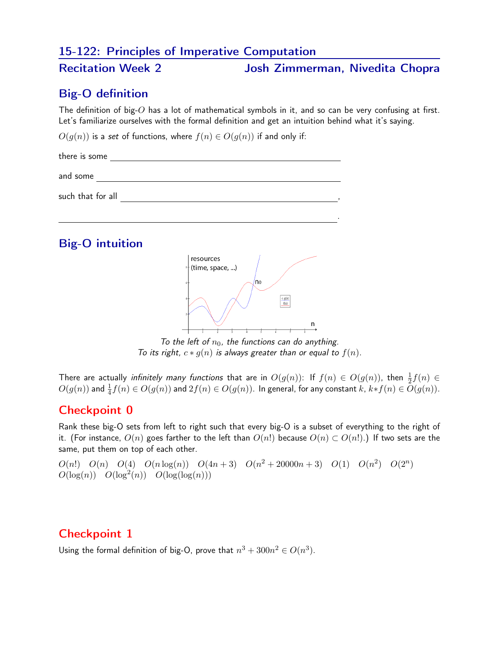## 15-122: Principles of Imperative Computation

## Recitation Week 2 Josh Zimmerman, Nivedita Chopra

## Big-O definition

The definition of big-O has a lot of mathematical symbols in it, and so can be very confusing at first. Let's familiarize ourselves with the formal definition and get an intuition behind what it's saying.

 $O(q(n))$  is a set of functions, where  $f(n) \in O(q(n))$  if and only if:

| there is some     |  |  |
|-------------------|--|--|
| and some          |  |  |
| such that for all |  |  |
|                   |  |  |



To the left of  $n_0$ , the functions can do anything. To its right,  $c * g(n)$  is always greater than or equal to  $f(n)$ .

There are actually *infinitely many functions* that are in  $O(g(n))$ : If  $f(n) \in O(g(n))$ , then  $\frac{1}{2}f(n) \in$  $O(g(n))$  and  $\frac{1}{4}f(n)\in O(g(n))$  and  $2f(n)\in O(g(n)).$  In general, for any constant  $k$ ,  $k*f(n)\in O(g(n)).$ 

# Checkpoint 0

Rank these big-O sets from left to right such that every big-O is a subset of everything to the right of it. (For instance,  $O(n)$  goes farther to the left than  $O(n!)$  because  $O(n) \subset O(n!)$ .) If two sets are the same, put them on top of each other.

 $O(n!)$   $O(n)$   $O(4)$   $O(n \log(n))$   $O(4n+3)$   $O(n^2+20000n+3)$   $O(1)$   $O(n^2)$   $O(2^n)$  $O(\log(n))$   $O(\log^2(n))$   $O(\log(\log(n)))$ 

#### Checkpoint 1

Using the formal definition of big-O, prove that  $n^3 + 300n^2 \in O(n^3)$ .